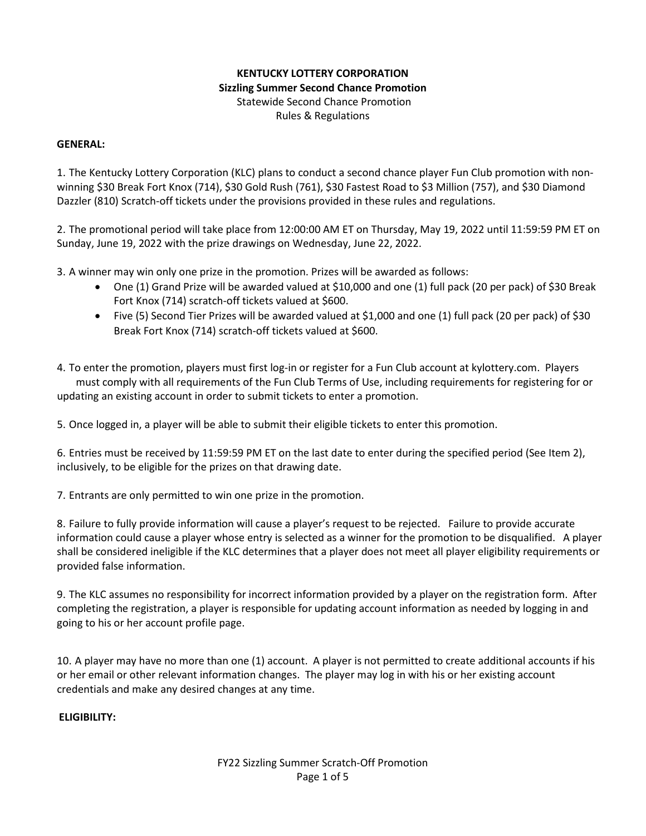# **KENTUCKY LOTTERY CORPORATION Sizzling Summer Second Chance Promotion** Statewide Second Chance Promotion Rules & Regulations

## **GENERAL:**

1. The Kentucky Lottery Corporation (KLC) plans to conduct a second chance player Fun Club promotion with nonwinning \$30 Break Fort Knox (714), \$30 Gold Rush (761), \$30 Fastest Road to \$3 Million (757), and \$30 Diamond Dazzler (810) Scratch-off tickets under the provisions provided in these rules and regulations.

2. The promotional period will take place from 12:00:00 AM ET on Thursday, May 19, 2022 until 11:59:59 PM ET on Sunday, June 19, 2022 with the prize drawings on Wednesday, June 22, 2022.

3. A winner may win only one prize in the promotion. Prizes will be awarded as follows:

- One (1) Grand Prize will be awarded valued at \$10,000 and one (1) full pack (20 per pack) of \$30 Break Fort Knox (714) scratch-off tickets valued at \$600.
- Five (5) Second Tier Prizes will be awarded valued at \$1,000 and one (1) full pack (20 per pack) of \$30 Break Fort Knox (714) scratch-off tickets valued at \$600.

4. To enter the promotion, players must first log-in or register for a Fun Club account at kylottery.com. Players must comply with all requirements of the Fun Club Terms of Use, including requirements for registering for or updating an existing account in order to submit tickets to enter a promotion.

5. Once logged in, a player will be able to submit their eligible tickets to enter this promotion.

6. Entries must be received by 11:59:59 PM ET on the last date to enter during the specified period (See Item 2), inclusively, to be eligible for the prizes on that drawing date.

7. Entrants are only permitted to win one prize in the promotion.

8. Failure to fully provide information will cause a player's request to be rejected. Failure to provide accurate information could cause a player whose entry is selected as a winner for the promotion to be disqualified. A player shall be considered ineligible if the KLC determines that a player does not meet all player eligibility requirements or provided false information.

9. The KLC assumes no responsibility for incorrect information provided by a player on the registration form. After completing the registration, a player is responsible for updating account information as needed by logging in and going to his or her account profile page.

10. A player may have no more than one (1) account. A player is not permitted to create additional accounts if his or her email or other relevant information changes. The player may log in with his or her existing account credentials and make any desired changes at any time.

**ELIGIBILITY:**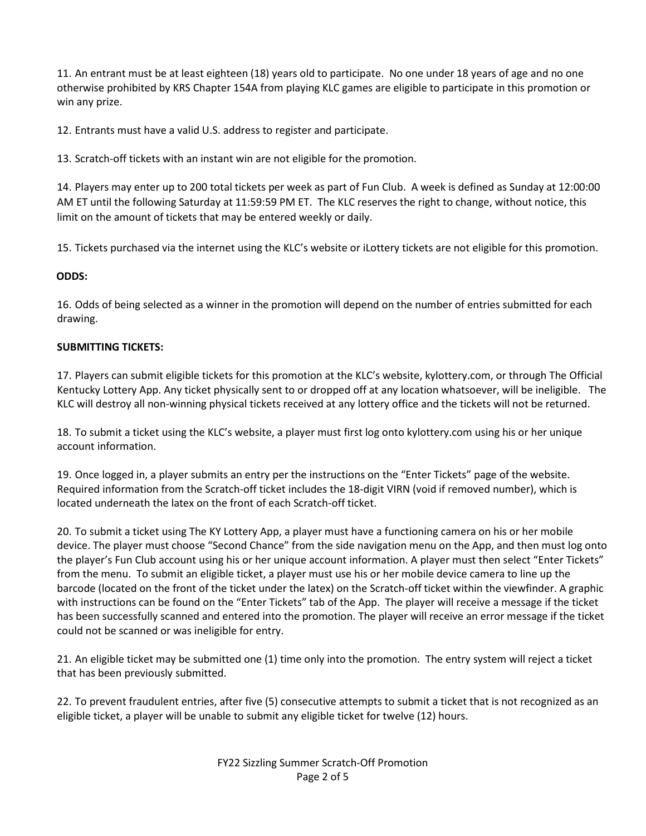11. An entrant must be at least eighteen (18) years old to participate. No one under 18 years of age and no one otherwise prohibited by KRS Chapter 154A from playing KLC games are eligible to participate in this promotion or win any prize.

12. Entrants must have a valid U.S. address to register and participate.

13. Scratch-off tickets with an instant win are not eligible for the promotion.

14. Players may enter up to 200 total tickets per week as part of Fun Club. A week is defined as Sunday at 12:00:00 AM ET until the following Saturday at 11:59:59 PM ET. The KLC reserves the right to change, without notice, this limit on the amount of tickets that may be entered weekly or daily.

15. Tickets purchased via the internet using the KLC's website or iLottery tickets are not eligible for this promotion.

## **ODDS:**

16. Odds of being selected as a winner in the promotion will depend on the number of entries submitted for each drawing.

## **SUBMITTING TICKETS:**

17. Players can submit eligible tickets for this promotion at the KLC's website, kylottery.com, or through The Official Kentucky Lottery App. Any ticket physically sent to or dropped off at any location whatsoever, will be ineligible. The KLC will destroy all non-winning physical tickets received at any lottery office and the tickets will not be returned.

18. To submit a ticket using the KLC's website, a player must first log onto kylottery.com using his or her unique account information.

19. Once logged in, a player submits an entry per the instructions on the "Enter Tickets" page of the website. Required information from the Scratch-off ticket includes the 18-digit VIRN (void if removed number), which is located underneath the latex on the front of each Scratch-off ticket.

20. To submit a ticket using The KY Lottery App, a player must have a functioning camera on his or her mobile device. The player must choose "Second Chance" from the side navigation menu on the App, and then must log onto the player's Fun Club account using his or her unique account information. A player must then select "Enter Tickets" from the menu. To submit an eligible ticket, a player must use his or her mobile device camera to line up the barcode (located on the front of the ticket under the latex) on the Scratch-off ticket within the viewfinder. A graphic with instructions can be found on the "Enter Tickets" tab of the App. The player will receive a message if the ticket has been successfully scanned and entered into the promotion. The player will receive an error message if the ticket could not be scanned or was ineligible for entry.

21. An eligible ticket may be submitted one (1) time only into the promotion. The entry system will reject a ticket that has been previously submitted.

22. To prevent fraudulent entries, after five (5) consecutive attempts to submit a ticket that is not recognized as an eligible ticket, a player will be unable to submit any eligible ticket for twelve (12) hours.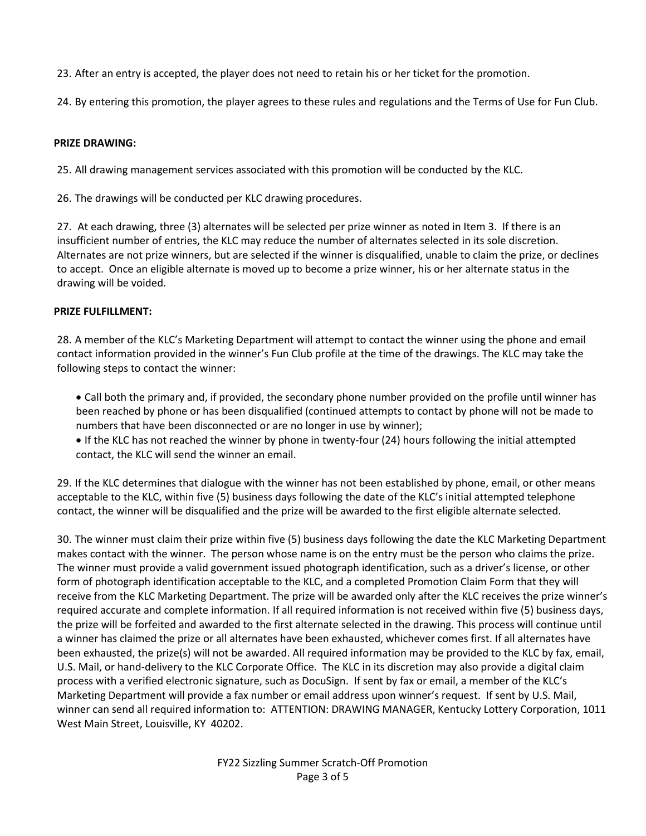23. After an entry is accepted, the player does not need to retain his or her ticket for the promotion.

24. By entering this promotion, the player agrees to these rules and regulations and the Terms of Use for Fun Club.

### **PRIZE DRAWING:**

25. All drawing management services associated with this promotion will be conducted by the KLC.

26. The drawings will be conducted per KLC drawing procedures.

27. At each drawing, three (3) alternates will be selected per prize winner as noted in Item 3. If there is an insufficient number of entries, the KLC may reduce the number of alternates selected in its sole discretion. Alternates are not prize winners, but are selected if the winner is disqualified, unable to claim the prize, or declines to accept. Once an eligible alternate is moved up to become a prize winner, his or her alternate status in the drawing will be voided.

## **PRIZE FULFILLMENT:**

28. A member of the KLC's Marketing Department will attempt to contact the winner using the phone and email contact information provided in the winner's Fun Club profile at the time of the drawings. The KLC may take the following steps to contact the winner:

- Call both the primary and, if provided, the secondary phone number provided on the profile until winner has been reached by phone or has been disqualified (continued attempts to contact by phone will not be made to numbers that have been disconnected or are no longer in use by winner);
- If the KLC has not reached the winner by phone in twenty-four (24) hours following the initial attempted contact, the KLC will send the winner an email.

29. If the KLC determines that dialogue with the winner has not been established by phone, email, or other means acceptable to the KLC, within five (5) business days following the date of the KLC's initial attempted telephone contact, the winner will be disqualified and the prize will be awarded to the first eligible alternate selected.

30. The winner must claim their prize within five (5) business days following the date the KLC Marketing Department makes contact with the winner. The person whose name is on the entry must be the person who claims the prize. The winner must provide a valid government issued photograph identification, such as a driver's license, or other form of photograph identification acceptable to the KLC, and a completed Promotion Claim Form that they will receive from the KLC Marketing Department. The prize will be awarded only after the KLC receives the prize winner's required accurate and complete information. If all required information is not received within five (5) business days, the prize will be forfeited and awarded to the first alternate selected in the drawing. This process will continue until a winner has claimed the prize or all alternates have been exhausted, whichever comes first. If all alternates have been exhausted, the prize(s) will not be awarded. All required information may be provided to the KLC by fax, email, U.S. Mail, or hand-delivery to the KLC Corporate Office. The KLC in its discretion may also provide a digital claim process with a verified electronic signature, such as DocuSign. If sent by fax or email, a member of the KLC's Marketing Department will provide a fax number or email address upon winner's request. If sent by U.S. Mail, winner can send all required information to: ATTENTION: DRAWING MANAGER, Kentucky Lottery Corporation, 1011 West Main Street, Louisville, KY 40202.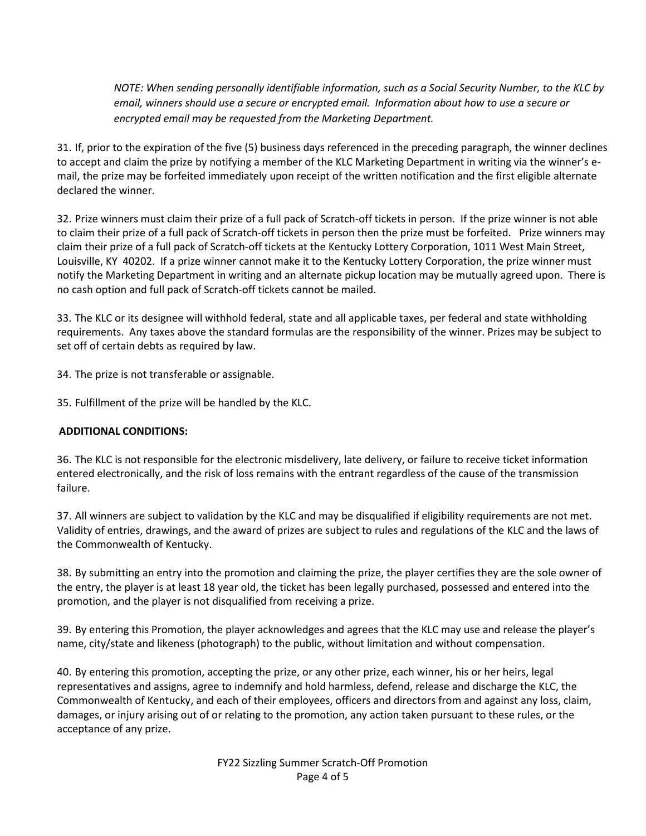*NOTE: When sending personally identifiable information, such as a Social Security Number, to the KLC by email, winners should use a secure or encrypted email. Information about how to use a secure or encrypted email may be requested from the Marketing Department.*

31. If, prior to the expiration of the five (5) business days referenced in the preceding paragraph, the winner declines to accept and claim the prize by notifying a member of the KLC Marketing Department in writing via the winner's email, the prize may be forfeited immediately upon receipt of the written notification and the first eligible alternate declared the winner.

32. Prize winners must claim their prize of a full pack of Scratch-off tickets in person. If the prize winner is not able to claim their prize of a full pack of Scratch-off tickets in person then the prize must be forfeited. Prize winners may claim their prize of a full pack of Scratch-off tickets at the Kentucky Lottery Corporation, 1011 West Main Street, Louisville, KY 40202. If a prize winner cannot make it to the Kentucky Lottery Corporation, the prize winner must notify the Marketing Department in writing and an alternate pickup location may be mutually agreed upon. There is no cash option and full pack of Scratch-off tickets cannot be mailed.

33. The KLC or its designee will withhold federal, state and all applicable taxes, per federal and state withholding requirements. Any taxes above the standard formulas are the responsibility of the winner. Prizes may be subject to set off of certain debts as required by law.

34. The prize is not transferable or assignable.

35. Fulfillment of the prize will be handled by the KLC.

## **ADDITIONAL CONDITIONS:**

36. The KLC is not responsible for the electronic misdelivery, late delivery, or failure to receive ticket information entered electronically, and the risk of loss remains with the entrant regardless of the cause of the transmission failure.

37. All winners are subject to validation by the KLC and may be disqualified if eligibility requirements are not met. Validity of entries, drawings, and the award of prizes are subject to rules and regulations of the KLC and the laws of the Commonwealth of Kentucky.

38. By submitting an entry into the promotion and claiming the prize, the player certifies they are the sole owner of the entry, the player is at least 18 year old, the ticket has been legally purchased, possessed and entered into the promotion, and the player is not disqualified from receiving a prize.

39. By entering this Promotion, the player acknowledges and agrees that the KLC may use and release the player's name, city/state and likeness (photograph) to the public, without limitation and without compensation.

40. By entering this promotion, accepting the prize, or any other prize, each winner, his or her heirs, legal representatives and assigns, agree to indemnify and hold harmless, defend, release and discharge the KLC, the Commonwealth of Kentucky, and each of their employees, officers and directors from and against any loss, claim, damages, or injury arising out of or relating to the promotion, any action taken pursuant to these rules, or the acceptance of any prize.